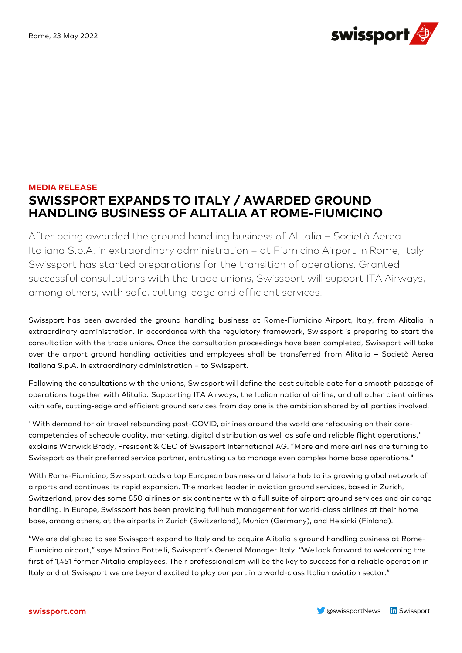

## **MEDIA RELEASE SWISSPORT EXPANDS TO ITALY / AWARDED GROUND HANDLING BUSINESS OF ALITALIA AT ROME-FIUMICINO**

After being awarded the ground handling business of Alitalia – Società Aerea Italiana S.p.A. in extraordinary administration – at Fiumicino Airport in Rome, Italy, Swissport has started preparations for the transition of operations. Granted successful consultations with the trade unions, Swissport will support ITA Airways, among others, with safe, cutting-edge and efficient services.

Swissport has been awarded the ground handling business at Rome-Fiumicino Airport, Italy, from Alitalia in extraordinary administration. In accordance with the regulatory framework, Swissport is preparing to start the consultation with the trade unions. Once the consultation proceedings have been completed, Swissport will take over the airport ground handling activities and employees shall be transferred from Alitalia – Società Aerea Italiana S.p.A. in extraordinary administration – to Swissport.

Following the consultations with the unions, Swissport will define the best suitable date for a smooth passage of operations together with Alitalia. Supporting ITA Airways, the Italian national airline, and all other client airlines with safe, cutting-edge and efficient ground services from day one is the ambition shared by all parties involved.

"With demand for air travel rebounding post-COVID, airlines around the world are refocusing on their corecompetencies of schedule quality, marketing, digital distribution as well as safe and reliable flight operations," explains Warwick Brady, President & CEO of Swissport International AG. "More and more airlines are turning to Swissport as their preferred service partner, entrusting us to manage even complex home base operations."

With Rome-Fiumicino, Swissport adds a top European business and leisure hub to its growing global network of airports and continues its rapid expansion. The market leader in aviation ground services, based in Zurich, Switzerland, provides some 850 airlines on six continents with a full suite of airport ground services and air cargo handling. In Europe, Swissport has been providing full hub management for world-class airlines at their home base, among others, at the airports in Zurich (Switzerland), Munich (Germany), and Helsinki (Finland).

"We are delighted to see Swissport expand to Italy and to acquire Alitalia's ground handling business at Rome-Fiumicino airport," says Marina Bottelli, Swissport's General Manager Italy. "We look forward to welcoming the first of 1,451 former Alitalia employees. Their professionalism will be the key to success for a reliable operation in Italy and at Swissport we are beyond excited to play our part in a world-class Italian aviation sector."